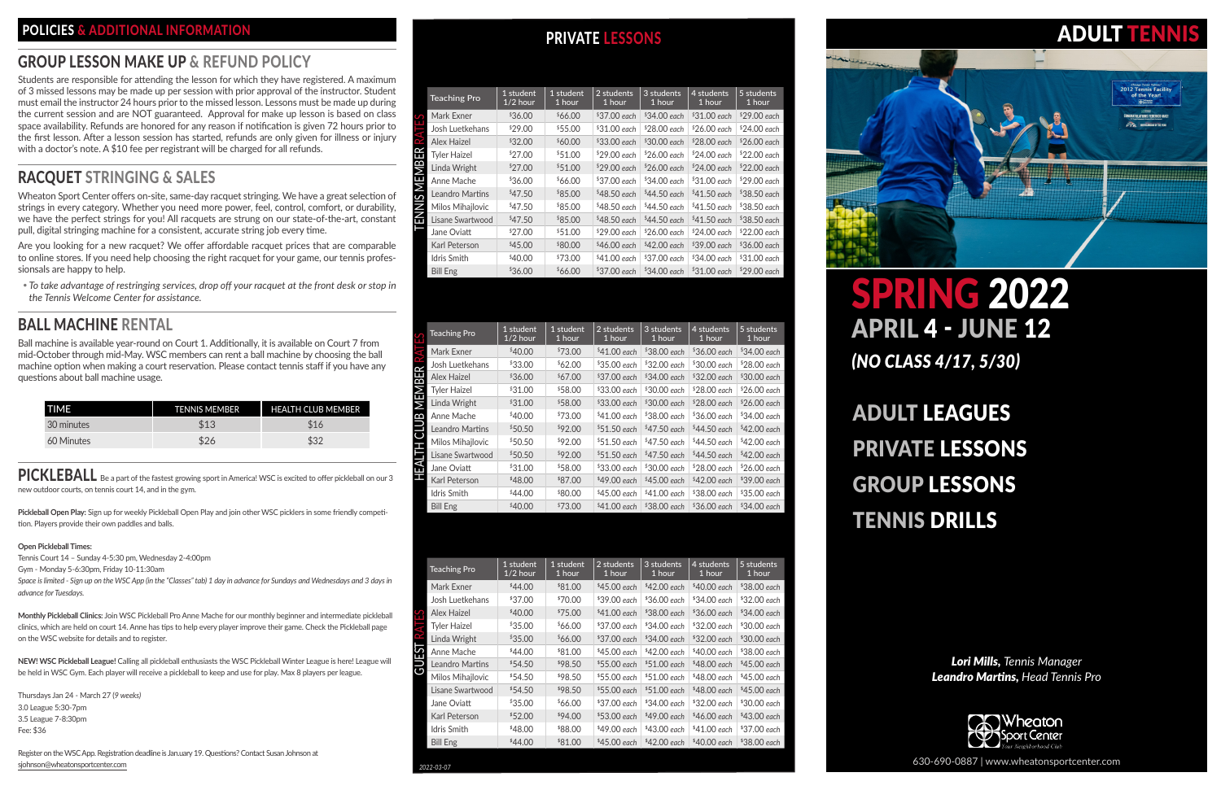*Lori Mills, Tennis Manager Leandro Martins, Head Tennis Pro*



# ADULT LEAGUES PRIVATE LESSONS GROUP LESSONS TENNIS DRILLS

Students are responsible for attending the lesson for which they have registered. A maximum of 3 missed lessons may be made up per session with prior approval of the instructor. Student must email the instructor 24 hours prior to the missed lesson. Lessons must be made up during the current session and are NOT guaranteed. Approval for make up lesson is based on class space availability. Refunds are honored for any reason if notification is given 72 hours prior to the first lesson. After a lesson session has started, refunds are only given for illness or injury with a doctor's note. A \$10 fee per registrant will be charged for all refunds.

630-690-0887 | www.wheatonsportcenter.com



*(NO CLASS 4/17, 5/30)*

# POLICIES & ADDITIONAL INFORMATION **POLICIES** AND PRIVATE LESSONS

### GROUP LESSON MAKE UP & REFUND POLICY

## RACQUET STRINGING & SALES

PICKLEBALL Be a part of the fastest growing sport in America! WSC is excited to offer pickleball on our 3 new outdoor courts, on tennis court 14, and in the gym.

Wheaton Sport Center offers on-site, same-day racquet stringing. We have a great selection of strings in every category. Whether you need more power, feel, control, comfort, or durability, we have the perfect strings for you! All racquets are strung on our state-of-the-art, constant pull, digital stringing machine for a consistent, accurate string job every time.

Are you looking for a new racquet? We offer affordable racquet prices that are comparable to online stores. If you need help choosing the right racquet for your game, our tennis professionsals are happy to help.

y *To take advantage of restringing services, drop off your racquet at the front desk or stop in the Tennis Welcome Center for assistance.*

## BALL MACHINE RENTAL

Ball machine is available year-round on Court 1. Additionally, it is available on Court 7 from mid-October through mid-May. WSC members can rent a ball machine by choosing the ball machine option when making a court reservation. Please contact tennis staff if you have any questions about ball machine usage.

| TIME       | <b>TENNIS MEMBER</b> | <b>HEALTH CLUB MEMBER</b> |
|------------|----------------------|---------------------------|
| 30 minutes | \$13                 | \$16                      |
| 60 Minutes | \$26                 | \$32                      |

**Pickleball Open Play:** Sign up for weekly Pickleball Open Play and join other WSC picklers in some friendly competition. Players provide their own paddles and balls.

#### **Open Pickleball Times:**

Tennis Court 14 – Sunday 4-5:30 pm, Wednesday 2-4:00pm

Gym - Monday 5-6:30pm, Friday 10-11:30am

*Space is limited - Sign up on the WSC App (in the "Classes" tab) 1 day in advance for Sundays and Wednesdays and 3 days in advance for Tuesdays.* 

**Monthly Pickleball Clinics:** Join WSC Pickleball Pro Anne Mache for our monthly beginner and intermediate pickleball clinics, which are held on court 14. Anne has tips to help every player improve their game. Check the Pickleball page on the WSC website for details and to register.

**NEW! WSC Pickleball League!** Calling all pickleball enthusiasts the WSC Pickleball Winter League is here! League will be held in WSC Gym. Each player will receive a pickleball to keep and use for play. Max 8 players per league.

Thursdays Jan 24 - March 27 (*9 weeks)* 3.0 League 5:30-7pm 3.5 League 7-8:30pm Fee: \$36

Register on the WSC App. Registration deadline is Jan.uary 19. Questions? Contact Susan Johnson at sjohnson@wheatonsportcenter.com

| <b>Teaching Pro</b> | 1 student<br>$1/2$ hour | 1 student<br>1 hour | 2 students<br>1 hour | 3 students<br>1 hour | 4 students<br>1 hour | 5 students<br>1 hour |
|---------------------|-------------------------|---------------------|----------------------|----------------------|----------------------|----------------------|
| Mark Exner          | \$36.00                 | \$66.00             | $$37.00$ each        | $$34.00$ each        | $$31.00$ each        | $$29.00$ each        |
| Josh Luetkehans     | \$29.00                 | \$55.00             | $$31.00$ each        | $$28.00$ each        | $$26.00$ each        | $$24.00$ each        |
| Alex Haizel         | \$32.00                 | \$60.00             | $$33.00$ each        | $$30.00$ each        | $$28.00$ each        | $$26.00$ each        |
| Tyler Haizel        | \$27.00                 | \$51.00             | $$29.00$ each        | $$26.00$ each        | $$24.00$ each        | $$22.00$ each        |
| Linda Wright        | \$27.00                 | \$51.00             | $$29.00$ each        | $$26.00$ each        | $$24.00$ each        | $$22.00$ each        |
| Anne Mache          | \$36.00                 | \$66.00             | $$37.00$ each        | $$34.00$ each        | $$31.00$ each        | $$29.00$ each        |
| Leandro Martins     | \$47.50                 | \$85.00             | $$48.50$ each        | $$44.50$ each        | $$41.50$ each        | $$38.50$ each        |
| Milos Mihailovic    | \$47.50                 | \$85.00             | $$48.50$ each        | $$44.50$ each        | $$41.50$ each        | $$38.50$ each        |
| Lisane Swartwood    | \$47.50                 | \$85.00             | $$48.50$ each        | $$44.50$ each        | $$41.50$ each        | $$38.50$ each        |
| Jane Oviatt         | \$27.00                 | \$51.00             | $$29.00$ each        | $$26.00$ each        | $$24.00$ each        | $$22.00$ each        |
| Karl Peterson       | \$45.00                 | \$80.00             | $$46.00$ each        | $$42.00$ each        | $$39.00$ each        | $$36.00$ each        |
| Idris Smith         | \$40.00                 | \$73.00             | $$41.00$ each        | $$37.00$ each        | $$34.00$ each        | $$31.00$ each        |

| မိ              | Mark Exner          | °36.UU              | $0.00*$   | °37.UU each   | °34.UU each   | °31.UU each                                                                                               | *29.00 each   |
|-----------------|---------------------|---------------------|-----------|---------------|---------------|-----------------------------------------------------------------------------------------------------------|---------------|
|                 | Josh Luetkehans     | <sup>\$</sup> 29.00 | \$55.00   | \$31.00 each  | \$28.00 each  | $$26.00$ each                                                                                             | $$24.00$ each |
|                 | Alex Haizel         | \$32.00             | \$60.00   | \$33.00 each  | \$30.00 each  | \$28.00 each                                                                                              | $$26.00$ each |
|                 | <b>Tyler Haizel</b> | \$27.00             | \$51.00   | \$29.00 each  | $$26.00$ each | $$24.00$ each                                                                                             | $$22.00$ each |
| ENNIS MEMBER R  | Linda Wright        | \$27.00             | \$51.00   | \$29.00 each  | \$26.00 each  | \$24.00 each                                                                                              | $$22.00$ each |
|                 | Anne Mache          | \$36.00             | \$66.00   | \$37.00 each  | \$34.00 each  | \$31.00 each                                                                                              | \$29.00 each  |
|                 | Leandro Martins     | \$47.50             | \$85.00   | $$48.50$ each | $$44.50$ each | $$41.50$ each                                                                                             | $$38.50$ each |
|                 | Milos Mihajlovic    | \$47.50             | \$85.00   | \$48.50 each  | \$44.50 each  | $$41.50$ each                                                                                             | \$38.50 each  |
|                 | Lisane Swartwood    | \$47.50             | \$85.00   | \$48.50 each  | \$44.50 each  | \$41.50 each                                                                                              | \$38.50 each  |
|                 | Jane Oviatt         | \$27.00             | \$51.00   | \$29.00 each  | \$26.00 each  | \$24.00 each                                                                                              | \$22.00 each  |
|                 | Karl Peterson       | \$45.00             | \$80.00   | \$46.00 each  | \$42.00 each  | \$39.00 each                                                                                              | \$36.00 each  |
|                 | Idris Smith         | \$40.00             | \$73.00   | \$41.00 each  | \$37.00 each  | \$34.00 each                                                                                              | \$31.00 each  |
|                 | <b>Bill Eng</b>     | \$36.00             | \$66.00   | \$37.00 each  | \$34.00 each  | \$31.00 each                                                                                              | $$29.00$ each |
|                 |                     | 1 student           | 1 student | 2 students    | $3$ students  | 4 students                                                                                                | 5 students    |
| 쑵               | <b>Teaching Pro</b> | $1/2$ hour          | 1 hour    | 1 hour        | 1 hour        | 1 hour                                                                                                    | 1 hour        |
| ₹               | Mark Exner          | \$40.00             | \$73.00   | \$41.00 each  | \$38.00 each  | \$36.00 each                                                                                              | \$34.00 each  |
|                 | Josh Luetkehans     | \$33.00             | \$62.00   | \$35.00 each  | $$32.00$ each | \$30.00 each                                                                                              | \$28.00 each  |
| <b>B MEMBER</b> | Alex Haizel         | \$36.00             | \$67.00   | $$37.00$ each | \$34.00 each  | \$32.00 each                                                                                              | $$30.00$ each |
|                 | <b>Tyler Haizel</b> | \$31.00             | \$58.00   | \$33.00 each  | \$30.00 each  | \$28.00 each                                                                                              | \$26.00 each  |
|                 | Linda Wright        | \$31.00             | \$58.00   | \$33.00 each  | \$30.00 each  | \$28.00 each                                                                                              | \$26.00 each  |
|                 | Anne Mache          | \$40.00             | \$73.00   | \$41.00 each  | \$38.00 each  | \$36.00 each                                                                                              | \$34.00 each  |
| <b>B</b>        | Leandro Martins     | \$50.50             | \$92.00   | \$51.50 each  | \$47.50 each  | \$44.50 each                                                                                              | $$42.00$ each |
|                 | Milos Mihajlovic    | \$50.50             | \$92.00   | $$51.50$ each | \$47.50 each  | \$44.50 each                                                                                              | \$42.00 each  |
| HEALTH          | Lisane Swartwood    | \$50.50             | \$92.00   | $$51.50$ each | $$47.50$ each | \$44.50 each                                                                                              | \$42.00 each  |
|                 | Jane Oviatt         | \$31.00             | \$58.00   | \$33.00 each  | \$30.00 each  | \$28.00 each                                                                                              | \$26.00 each  |
|                 | Karl Peterson       | \$48.00             | \$87.00   | \$49.00 each  | $$45.00$ each | \$42.00 each                                                                                              | \$39.00 each  |
|                 | Idris Smith         | \$44.00             | \$80.00   | \$45.00 each  | $$41.00$ each | \$38.00 each                                                                                              | \$35.00 each  |
|                 | <b>Bill Eng</b>     | \$40.00             | \$73.00   | \$41.00 each  | \$38.00 each  | \$36.00 each                                                                                              | \$34.00 each  |
|                 |                     |                     |           |               |               | $\mid$ 1 student $\mid$ 1 student $\mid$ 2 students $\mid$ 3 students $\mid$ 4 students $\mid$ 5 students |               |
|                 | <b>Teaching Pro</b> | $1/2$ hour          | 1 hour    | 1 hour        | 1 hour        | 1 hour                                                                                                    | 1 hour        |
|                 | Mark Exner          | \$44.00             | \$81.00   | \$45.00 each  | \$42.00 each  | \$40.00 each                                                                                              | \$38.00 each  |
|                 | Josh Luetkehans     | \$37.00             | \$70.00   | \$39.00 each  | \$36.00 each  | \$34.00 each                                                                                              | \$32.00 each  |
| <u>ез</u>       | Alex Haizel         | \$40.00             | \$75.00   | $$41.00$ each | \$38.00 each  | \$36.00 each                                                                                              | \$34.00 each  |
|                 | <b>Tyler Haizel</b> | \$35.00             | \$66.00   | \$37.00 each  | \$34.00 each  | \$32.00 each                                                                                              | \$30.00 each  |
|                 | Linda Wright        | \$35.00             | \$66.00   | \$37.00 each  | \$34.00 each  | \$32.00 each                                                                                              | \$30.00 each  |
|                 | Anne Mache          | \$44.00             | \$81.00   | \$45.00 each  | \$42.00 each  | \$40.00 each                                                                                              | $$38.00$ each |
| <b>GUEST</b>    | Leandro Martins     | \$54.50             | \$98.50   | \$55.00 each  | \$51.00 each  | \$48.00 each                                                                                              | $$45.00$ each |
|                 | Milos Mihajlovic    | \$54.50             | \$98.50   | \$55.00 each  | \$51.00 each  | \$48.00 each                                                                                              | \$45.00 each  |
|                 | Lisane Swartwood    | \$54.50             | \$98.50   | $$55.00$ each | \$51.00 each  | \$48.00 each                                                                                              | \$45.00 each  |
|                 | Jane Oviatt         | \$35.00             | \$66.00   | \$37.00 each  | \$34.00 each  | \$32.00 each                                                                                              | \$30.00 each  |
|                 | Karl Peterson       | \$52.00             | \$94.00   | \$53.00 each  | \$49.00 each  | \$46.00 each                                                                                              | \$43.00 each  |
|                 | Idris Smith         | \$48.00             | \$88.00   | \$49.00 each  | \$43.00 each  | \$41.00 each                                                                                              | \$37.00 each  |
|                 | <b>Bill Eng</b>     | \$44.00             | \$81.00   | $$45.00$ each | \$42.00 each  | \$40.00 each                                                                                              | \$38.00 each  |
|                 |                     |                     |           |               |               |                                                                                                           |               |

|        | <b>Teaching Pro</b> | 1 student<br>$1/2$ hour | 1 student<br>1 hour | 2 students<br>1 hour | 3 students<br>1 hour | 4 students<br>1 hour | 5 students<br>1 hour |
|--------|---------------------|-------------------------|---------------------|----------------------|----------------------|----------------------|----------------------|
|        | Mark Exner          | \$44.00                 | \$81.00             | $$45.00$ each        | $$42.00$ each        | $$40.00$ each        | $$38.00$ each        |
|        | Josh Luetkehans     | \$37.00                 | \$70.00             | \$39.00 each         | $$36.00$ each        | \$34.00 each         | \$32.00 each         |
| က္က    | Alex Haizel         | \$40.00                 | \$75.00             | $$41.00$ each        | $$38.00$ each        | $$36.00$ each        | \$34.00 each         |
| ₹      | <b>Tyler Haizel</b> | \$35.00                 | \$66.00             | \$37.00 each         | $$34.00$ each        | $$32.00$ each        | \$30.00 each         |
| $\sim$ | Linda Wright        | \$35.00                 | \$66.00             | \$37.00 each         | $$34.00$ each        | $$32.00$ each        | $$30.00$ each        |
| က္ပ    | Anne Mache          | \$44.00                 | <sup>\$81,00</sup>  | $$45.00$ each        | $$42.00$ each        | \$40.00 each         | \$38.00 each         |
| ටි     | Leandro Martins     | \$54.50                 | \$98.50             | \$55,00 each         | $$51.00$ each        | \$48.00 each         | $$45.00$ each        |
|        | Milos Mihajlovic    | \$54.50                 | \$98.50             | $$55.00$ each        | $$51.00$ each        | $$48.00$ each        | $$45.00$ each        |
|        | Lisane Swartwood    | \$54.50                 | \$98.50             | $$55.00$ each        | $$51.00$ each        | $$48.00$ each        | $$45.00$ each        |
|        | Jane Oviatt         | \$35.00                 | \$66.00             | \$37.00 each         | $$34.00$ each        | $$32.00$ each        | $$30.00$ each        |
|        | Karl Peterson       | \$52.00                 | \$94.00             | \$53.00 each         | \$49,00 each         | \$46.00 each         | \$43.00 each         |
|        | Idris Smith         | \$48.00                 | <sup>\$</sup> 88.00 | $$49.00$ each        | \$43.00 each         | \$41.00 each         | \$37.00 each         |
|        | Bill Eng            | \$44.00                 | \$81.00             | $$45.00$ each        | $$42.00$ each        | \$40.00 each         | \$38.00 each         |





# **ADULT TENI**

**2012 Tennis Facility**<br>of the Year!